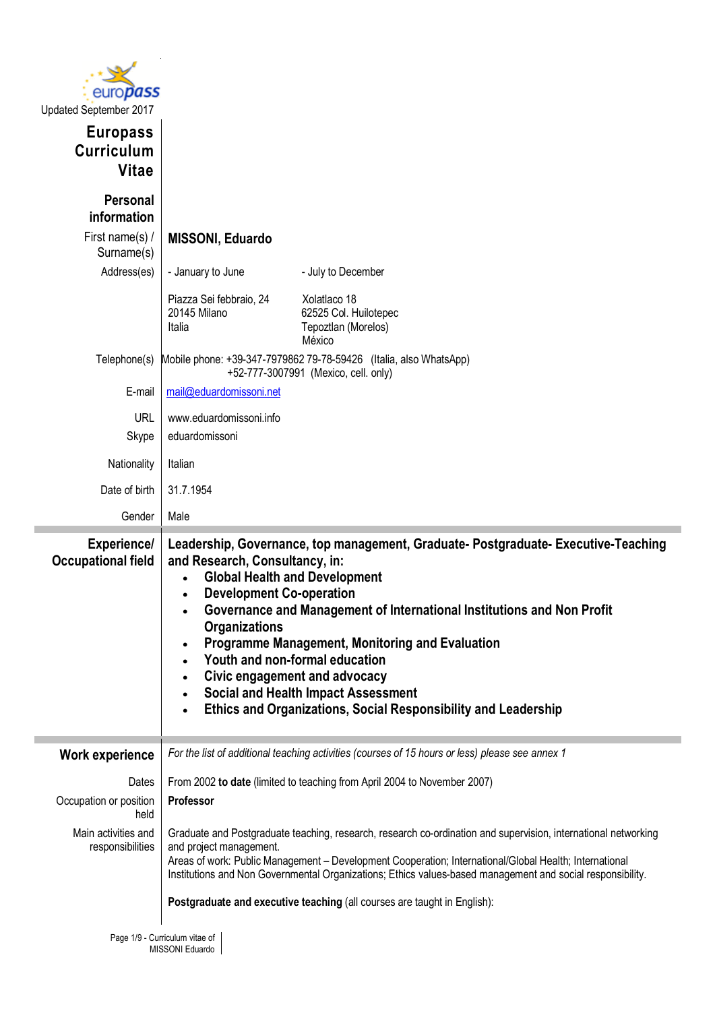

| Updated September 2017                               |                                                                                                                                                                                                                              |                                                                                                                                                                                                                                                                                                                                                                                                                    |  |  |  |
|------------------------------------------------------|------------------------------------------------------------------------------------------------------------------------------------------------------------------------------------------------------------------------------|--------------------------------------------------------------------------------------------------------------------------------------------------------------------------------------------------------------------------------------------------------------------------------------------------------------------------------------------------------------------------------------------------------------------|--|--|--|
| <b>Europass</b><br><b>Curriculum</b><br><b>Vitae</b> |                                                                                                                                                                                                                              |                                                                                                                                                                                                                                                                                                                                                                                                                    |  |  |  |
| <b>Personal</b><br>information                       |                                                                                                                                                                                                                              |                                                                                                                                                                                                                                                                                                                                                                                                                    |  |  |  |
| First name(s) /<br>Surname(s)                        | <b>MISSONI, Eduardo</b>                                                                                                                                                                                                      |                                                                                                                                                                                                                                                                                                                                                                                                                    |  |  |  |
| Address(es)                                          | - January to June                                                                                                                                                                                                            | - July to December                                                                                                                                                                                                                                                                                                                                                                                                 |  |  |  |
|                                                      | Piazza Sei febbraio, 24<br>20145 Milano<br>Italia                                                                                                                                                                            | Xolatlaco 18<br>62525 Col. Huilotepec<br>Tepoztlan (Morelos)<br>México                                                                                                                                                                                                                                                                                                                                             |  |  |  |
| Telephone(s)                                         |                                                                                                                                                                                                                              | Mobile phone: +39-347-7979862 79-78-59426 (Italia, also WhatsApp)<br>+52-777-3007991 (Mexico, cell. only)                                                                                                                                                                                                                                                                                                          |  |  |  |
| E-mail                                               | mail@eduardomissoni.net                                                                                                                                                                                                      |                                                                                                                                                                                                                                                                                                                                                                                                                    |  |  |  |
| <b>URL</b><br>Skype                                  | www.eduardomissoni.info<br>eduardomissoni                                                                                                                                                                                    |                                                                                                                                                                                                                                                                                                                                                                                                                    |  |  |  |
| Nationality                                          | Italian                                                                                                                                                                                                                      |                                                                                                                                                                                                                                                                                                                                                                                                                    |  |  |  |
| Date of birth                                        | 31.7.1954                                                                                                                                                                                                                    |                                                                                                                                                                                                                                                                                                                                                                                                                    |  |  |  |
| Gender                                               | Male                                                                                                                                                                                                                         |                                                                                                                                                                                                                                                                                                                                                                                                                    |  |  |  |
|                                                      |                                                                                                                                                                                                                              |                                                                                                                                                                                                                                                                                                                                                                                                                    |  |  |  |
| <b>Experience/</b><br><b>Occupational field</b>      | and Research, Consultancy, in:<br><b>Global Health and Development</b><br>$\bullet$<br><b>Development Co-operation</b><br>$\bullet$<br>$\bullet$<br><b>Organizations</b><br>$\bullet$<br>$\bullet$<br>$\bullet$<br>$\bullet$ | Leadership, Governance, top management, Graduate- Postgraduate- Executive-Teaching<br>Governance and Management of International Institutions and Non Profit<br>Programme Management, Monitoring and Evaluation<br>Youth and non-formal education<br>Civic engagement and advocacy<br><b>Social and Health Impact Assessment</b><br>Ethics and Organizations, Social Responsibility and Leadership                 |  |  |  |
| <b>Work experience</b>                               |                                                                                                                                                                                                                              | For the list of additional teaching activities (courses of 15 hours or less) please see annex 1                                                                                                                                                                                                                                                                                                                    |  |  |  |
| Dates<br>Occupation or position<br>held              | Professor                                                                                                                                                                                                                    | From 2002 to date (limited to teaching from April 2004 to November 2007)                                                                                                                                                                                                                                                                                                                                           |  |  |  |
| Main activities and<br>responsibilities              | and project management.                                                                                                                                                                                                      | Graduate and Postgraduate teaching, research, research co-ordination and supervision, international networking<br>Areas of work: Public Management - Development Cooperation; International/Global Health; International<br>Institutions and Non Governmental Organizations; Ethics values-based management and social responsibility.<br>Postgraduate and executive teaching (all courses are taught in English): |  |  |  |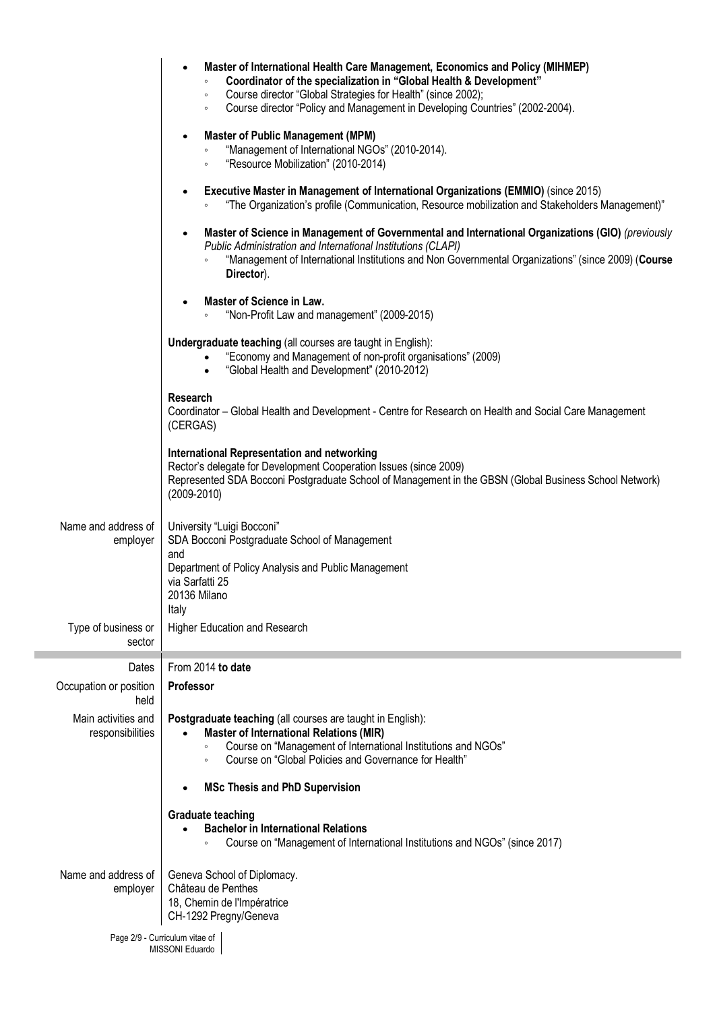|                                         | Master of International Health Care Management, Economics and Policy (MIHMEP)<br>$\bullet$<br>Coordinator of the specialization in "Global Health & Development"<br>Course director "Global Strategies for Health" (since 2002);<br>$\circ$<br>Course director "Policy and Management in Developing Countries" (2002-2004).<br>$\circ$<br><b>Master of Public Management (MPM)</b><br>$\bullet$<br>"Management of International NGOs" (2010-2014).<br>"Resource Mobilization" (2010-2014)<br>$\circ$<br>Executive Master in Management of International Organizations (EMMIO) (since 2015)<br>$\bullet$<br>"The Organization's profile (Communication, Resource mobilization and Stakeholders Management)"<br>Master of Science in Management of Governmental and International Organizations (GIO) (previously<br>$\bullet$<br>Public Administration and International Institutions (CLAPI)<br>"Management of International Institutions and Non Governmental Organizations" (since 2009) (Course<br>Director).<br>Master of Science in Law.<br>"Non-Profit Law and management" (2009-2015)<br>Undergraduate teaching (all courses are taught in English):<br>"Economy and Management of non-profit organisations" (2009)<br>"Global Health and Development" (2010-2012)<br><b>Research</b><br>Coordinator - Global Health and Development - Centre for Research on Health and Social Care Management<br>(CERGAS)<br><b>International Representation and networking</b> |
|-----------------------------------------|--------------------------------------------------------------------------------------------------------------------------------------------------------------------------------------------------------------------------------------------------------------------------------------------------------------------------------------------------------------------------------------------------------------------------------------------------------------------------------------------------------------------------------------------------------------------------------------------------------------------------------------------------------------------------------------------------------------------------------------------------------------------------------------------------------------------------------------------------------------------------------------------------------------------------------------------------------------------------------------------------------------------------------------------------------------------------------------------------------------------------------------------------------------------------------------------------------------------------------------------------------------------------------------------------------------------------------------------------------------------------------------------------------------------------------------------------------------------------|
|                                         | Rector's delegate for Development Cooperation Issues (since 2009)<br>Represented SDA Bocconi Postgraduate School of Management in the GBSN (Global Business School Network)<br>$(2009 - 2010)$                                                                                                                                                                                                                                                                                                                                                                                                                                                                                                                                                                                                                                                                                                                                                                                                                                                                                                                                                                                                                                                                                                                                                                                                                                                                           |
| Name and address of<br>employer         | University "Luigi Bocconi"<br>SDA Bocconi Postgraduate School of Management<br>and<br>Department of Policy Analysis and Public Management<br>via Sarfatti 25<br>20136 Milano<br>Italy                                                                                                                                                                                                                                                                                                                                                                                                                                                                                                                                                                                                                                                                                                                                                                                                                                                                                                                                                                                                                                                                                                                                                                                                                                                                                    |
| Type of business or<br>sector           | Higher Education and Research                                                                                                                                                                                                                                                                                                                                                                                                                                                                                                                                                                                                                                                                                                                                                                                                                                                                                                                                                                                                                                                                                                                                                                                                                                                                                                                                                                                                                                            |
| Dates                                   | From 2014 to date                                                                                                                                                                                                                                                                                                                                                                                                                                                                                                                                                                                                                                                                                                                                                                                                                                                                                                                                                                                                                                                                                                                                                                                                                                                                                                                                                                                                                                                        |
| Occupation or position<br>held          | Professor                                                                                                                                                                                                                                                                                                                                                                                                                                                                                                                                                                                                                                                                                                                                                                                                                                                                                                                                                                                                                                                                                                                                                                                                                                                                                                                                                                                                                                                                |
| Main activities and<br>responsibilities | Postgraduate teaching (all courses are taught in English):<br><b>Master of International Relations (MIR)</b><br>Course on "Management of International Institutions and NGOs"<br>$\circ$<br>Course on "Global Policies and Governance for Health"<br>$\circ$<br><b>MSc Thesis and PhD Supervision</b><br>$\bullet$<br><b>Graduate teaching</b><br><b>Bachelor in International Relations</b>                                                                                                                                                                                                                                                                                                                                                                                                                                                                                                                                                                                                                                                                                                                                                                                                                                                                                                                                                                                                                                                                             |
|                                         | Course on "Management of International Institutions and NGOs" (since 2017)                                                                                                                                                                                                                                                                                                                                                                                                                                                                                                                                                                                                                                                                                                                                                                                                                                                                                                                                                                                                                                                                                                                                                                                                                                                                                                                                                                                               |
| Name and address of<br>employer         | Geneva School of Diplomacy.<br>Château de Penthes<br>18, Chemin de l'Impératrice<br>CH-1292 Pregny/Geneva                                                                                                                                                                                                                                                                                                                                                                                                                                                                                                                                                                                                                                                                                                                                                                                                                                                                                                                                                                                                                                                                                                                                                                                                                                                                                                                                                                |
|                                         | Page 2/9 - Curriculum vitae of<br>MISSONI Eduardo                                                                                                                                                                                                                                                                                                                                                                                                                                                                                                                                                                                                                                                                                                                                                                                                                                                                                                                                                                                                                                                                                                                                                                                                                                                                                                                                                                                                                        |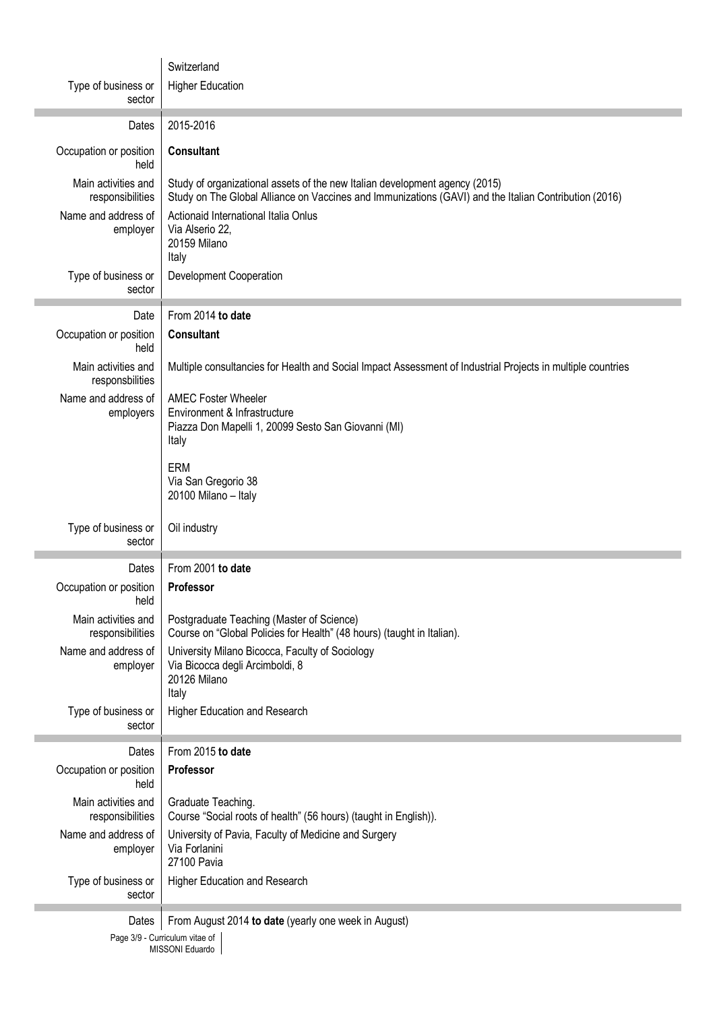|                                                     | Switzerland                                                                                                                                                                           |  |  |  |  |
|-----------------------------------------------------|---------------------------------------------------------------------------------------------------------------------------------------------------------------------------------------|--|--|--|--|
| Type of business or                                 | <b>Higher Education</b>                                                                                                                                                               |  |  |  |  |
| sector                                              |                                                                                                                                                                                       |  |  |  |  |
| Dates                                               | 2015-2016                                                                                                                                                                             |  |  |  |  |
| Occupation or position<br>held                      | <b>Consultant</b>                                                                                                                                                                     |  |  |  |  |
| Main activities and<br>responsibilities             | Study of organizational assets of the new Italian development agency (2015)<br>Study on The Global Alliance on Vaccines and Immunizations (GAVI) and the Italian Contribution (2016)  |  |  |  |  |
| Name and address of<br>employer                     | Actionaid International Italia Onlus<br>Via Alserio 22,<br>20159 Milano<br>Italy                                                                                                      |  |  |  |  |
| Type of business or<br>sector                       | <b>Development Cooperation</b>                                                                                                                                                        |  |  |  |  |
| Date                                                | From 2014 to date                                                                                                                                                                     |  |  |  |  |
| Occupation or position<br>held                      | <b>Consultant</b>                                                                                                                                                                     |  |  |  |  |
| Main activities and<br>responsbilities              | Multiple consultancies for Health and Social Impact Assessment of Industrial Projects in multiple countries                                                                           |  |  |  |  |
| Name and address of<br>employers                    | <b>AMEC Foster Wheeler</b><br>Environment & Infrastructure<br>Piazza Don Mapelli 1, 20099 Sesto San Giovanni (MI)<br>Italy                                                            |  |  |  |  |
|                                                     | <b>ERM</b><br>Via San Gregorio 38<br>20100 Milano - Italy                                                                                                                             |  |  |  |  |
|                                                     |                                                                                                                                                                                       |  |  |  |  |
| Type of business or<br>sector                       | Oil industry                                                                                                                                                                          |  |  |  |  |
| Dates                                               | From 2001 to date                                                                                                                                                                     |  |  |  |  |
| Occupation or position                              | Professor                                                                                                                                                                             |  |  |  |  |
| held<br>Main activities and                         | Postgraduate Teaching (Master of Science)                                                                                                                                             |  |  |  |  |
| responsibilities<br>Name and address of<br>employer | Course on "Global Policies for Health" (48 hours) (taught in Italian).<br>University Milano Bicocca, Faculty of Sociology<br>Via Bicocca degli Arcimboldi, 8<br>20126 Milano<br>Italy |  |  |  |  |
| Type of business or<br>sector                       | Higher Education and Research                                                                                                                                                         |  |  |  |  |
| Dates                                               | From 2015 to date                                                                                                                                                                     |  |  |  |  |
| Occupation or position<br>held                      | Professor                                                                                                                                                                             |  |  |  |  |
| Main activities and<br>responsibilities             | Graduate Teaching.<br>Course "Social roots of health" (56 hours) (taught in English)).                                                                                                |  |  |  |  |
| Name and address of<br>employer                     | University of Pavia, Faculty of Medicine and Surgery<br>Via Forlanini<br>27100 Pavia                                                                                                  |  |  |  |  |
| Type of business or<br>sector                       | Higher Education and Research                                                                                                                                                         |  |  |  |  |
| Dates                                               | From August 2014 to date (yearly one week in August)                                                                                                                                  |  |  |  |  |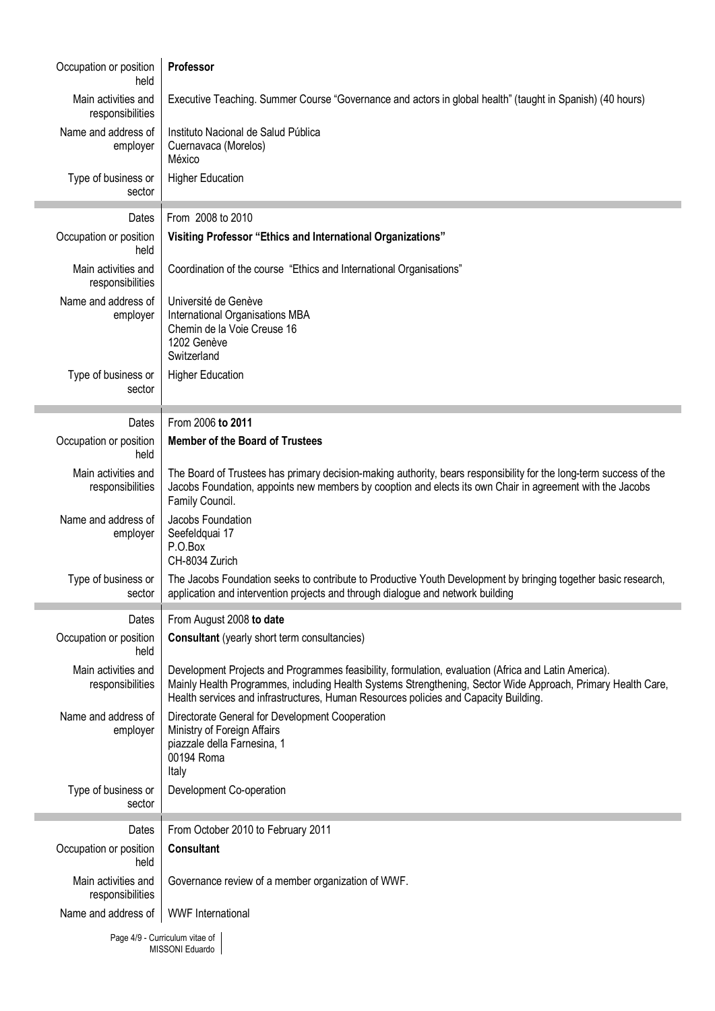| Occupation or position<br>held          | Professor                                                                                                                                                                                                                                                                                                    |
|-----------------------------------------|--------------------------------------------------------------------------------------------------------------------------------------------------------------------------------------------------------------------------------------------------------------------------------------------------------------|
| Main activities and<br>responsibilities | Executive Teaching. Summer Course "Governance and actors in global health" (taught in Spanish) (40 hours)                                                                                                                                                                                                    |
| Name and address of<br>employer         | Instituto Nacional de Salud Pública<br>Cuernavaca (Morelos)<br>México                                                                                                                                                                                                                                        |
| Type of business or<br>sector           | <b>Higher Education</b>                                                                                                                                                                                                                                                                                      |
| Dates                                   | From 2008 to 2010                                                                                                                                                                                                                                                                                            |
| Occupation or position<br>held          | Visiting Professor "Ethics and International Organizations"                                                                                                                                                                                                                                                  |
| Main activities and<br>responsibilities | Coordination of the course "Ethics and International Organisations"                                                                                                                                                                                                                                          |
| Name and address of<br>employer         | Université de Genève<br>International Organisations MBA<br>Chemin de la Voie Creuse 16<br>1202 Genève<br>Switzerland                                                                                                                                                                                         |
| Type of business or<br>sector           | <b>Higher Education</b>                                                                                                                                                                                                                                                                                      |
| Dates                                   | From 2006 to 2011                                                                                                                                                                                                                                                                                            |
| Occupation or position<br>held          | <b>Member of the Board of Trustees</b>                                                                                                                                                                                                                                                                       |
| Main activities and<br>responsibilities | The Board of Trustees has primary decision-making authority, bears responsibility for the long-term success of the<br>Jacobs Foundation, appoints new members by cooption and elects its own Chair in agreement with the Jacobs<br>Family Council.                                                           |
| Name and address of<br>employer         | Jacobs Foundation<br>Seefeldquai 17<br>P.O.Box<br>CH-8034 Zurich                                                                                                                                                                                                                                             |
| Type of business or<br>sector           | The Jacobs Foundation seeks to contribute to Productive Youth Development by bringing together basic research,<br>application and intervention projects and through dialogue and network building                                                                                                            |
| Dates                                   | From August 2008 to date                                                                                                                                                                                                                                                                                     |
| Occupation or position<br>held          | <b>Consultant</b> (yearly short term consultancies)                                                                                                                                                                                                                                                          |
| Main activities and<br>responsibilities | Development Projects and Programmes feasibility, formulation, evaluation (Africa and Latin America).<br>Mainly Health Programmes, including Health Systems Strengthening, Sector Wide Approach, Primary Health Care,<br>Health services and infrastructures, Human Resources policies and Capacity Building. |
| Name and address of<br>employer         | Directorate General for Development Cooperation<br>Ministry of Foreign Affairs<br>piazzale della Farnesina, 1<br>00194 Roma<br>Italy                                                                                                                                                                         |
| Type of business or<br>sector           | Development Co-operation                                                                                                                                                                                                                                                                                     |
| Dates                                   | From October 2010 to February 2011                                                                                                                                                                                                                                                                           |
| Occupation or position<br>held          | <b>Consultant</b>                                                                                                                                                                                                                                                                                            |
| Main activities and<br>responsibilities | Governance review of a member organization of WWF.                                                                                                                                                                                                                                                           |
| Name and address of                     | <b>WWF</b> International                                                                                                                                                                                                                                                                                     |
|                                         | $Dao A/0$ Curriculum vitoo of                                                                                                                                                                                                                                                                                |

Page 4/9 - Curriculum vitae of MISSONI Eduardo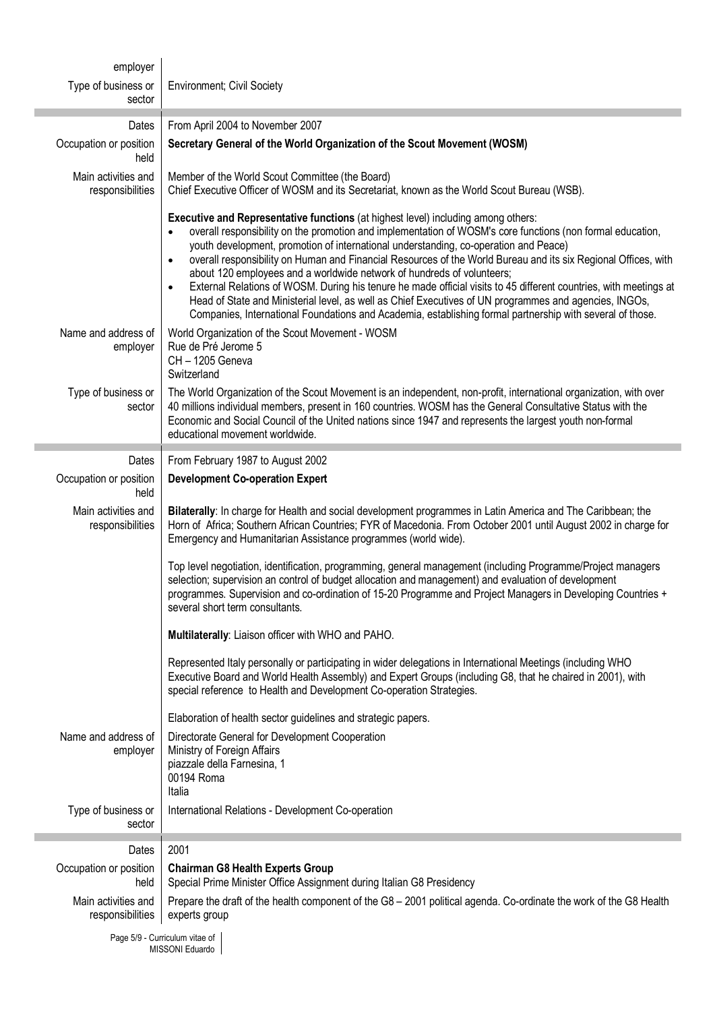| employer                                |                                                                                                                                                                                                                                                                                                                                                                                                                                                                                                                                                                                                                                                                                                                                                                                                                                              |  |  |  |
|-----------------------------------------|----------------------------------------------------------------------------------------------------------------------------------------------------------------------------------------------------------------------------------------------------------------------------------------------------------------------------------------------------------------------------------------------------------------------------------------------------------------------------------------------------------------------------------------------------------------------------------------------------------------------------------------------------------------------------------------------------------------------------------------------------------------------------------------------------------------------------------------------|--|--|--|
| Type of business or                     | <b>Environment; Civil Society</b>                                                                                                                                                                                                                                                                                                                                                                                                                                                                                                                                                                                                                                                                                                                                                                                                            |  |  |  |
| sector                                  |                                                                                                                                                                                                                                                                                                                                                                                                                                                                                                                                                                                                                                                                                                                                                                                                                                              |  |  |  |
| Dates                                   | From April 2004 to November 2007                                                                                                                                                                                                                                                                                                                                                                                                                                                                                                                                                                                                                                                                                                                                                                                                             |  |  |  |
| Occupation or position<br>held          | Secretary General of the World Organization of the Scout Movement (WOSM)                                                                                                                                                                                                                                                                                                                                                                                                                                                                                                                                                                                                                                                                                                                                                                     |  |  |  |
| Main activities and<br>responsibilities | Member of the World Scout Committee (the Board)<br>Chief Executive Officer of WOSM and its Secretariat, known as the World Scout Bureau (WSB).                                                                                                                                                                                                                                                                                                                                                                                                                                                                                                                                                                                                                                                                                               |  |  |  |
|                                         | Executive and Representative functions (at highest level) including among others:<br>overall responsibility on the promotion and implementation of WOSM's core functions (non formal education,<br>youth development, promotion of international understanding, co-operation and Peace)<br>overall responsibility on Human and Financial Resources of the World Bureau and its six Regional Offices, with<br>$\bullet$<br>about 120 employees and a worldwide network of hundreds of volunteers;<br>External Relations of WOSM. During his tenure he made official visits to 45 different countries, with meetings at<br>Head of State and Ministerial level, as well as Chief Executives of UN programmes and agencies, INGOs,<br>Companies, International Foundations and Academia, establishing formal partnership with several of those. |  |  |  |
| Name and address of<br>employer         | World Organization of the Scout Movement - WOSM<br>Rue de Pré Jerome 5<br>CH - 1205 Geneva<br>Switzerland                                                                                                                                                                                                                                                                                                                                                                                                                                                                                                                                                                                                                                                                                                                                    |  |  |  |
| Type of business or<br>sector           | The World Organization of the Scout Movement is an independent, non-profit, international organization, with over<br>40 millions individual members, present in 160 countries. WOSM has the General Consultative Status with the<br>Economic and Social Council of the United nations since 1947 and represents the largest youth non-formal<br>educational movement worldwide.                                                                                                                                                                                                                                                                                                                                                                                                                                                              |  |  |  |
| Dates                                   | From February 1987 to August 2002                                                                                                                                                                                                                                                                                                                                                                                                                                                                                                                                                                                                                                                                                                                                                                                                            |  |  |  |
| Occupation or position<br>held          | <b>Development Co-operation Expert</b>                                                                                                                                                                                                                                                                                                                                                                                                                                                                                                                                                                                                                                                                                                                                                                                                       |  |  |  |
| Main activities and<br>responsibilities | Bilaterally: In charge for Health and social development programmes in Latin America and The Caribbean; the<br>Horn of Africa; Southern African Countries; FYR of Macedonia. From October 2001 until August 2002 in charge for<br>Emergency and Humanitarian Assistance programmes (world wide).                                                                                                                                                                                                                                                                                                                                                                                                                                                                                                                                             |  |  |  |
|                                         | Top level negotiation, identification, programming, general management (including Programme/Project managers<br>selection; supervision an control of budget allocation and management) and evaluation of development<br>programmes. Supervision and co-ordination of 15-20 Programme and Project Managers in Developing Countries +<br>several short term consultants.                                                                                                                                                                                                                                                                                                                                                                                                                                                                       |  |  |  |
|                                         | Multilaterally: Liaison officer with WHO and PAHO.                                                                                                                                                                                                                                                                                                                                                                                                                                                                                                                                                                                                                                                                                                                                                                                           |  |  |  |
|                                         | Represented Italy personally or participating in wider delegations in International Meetings (including WHO<br>Executive Board and World Health Assembly) and Expert Groups (including G8, that he chaired in 2001), with<br>special reference to Health and Development Co-operation Strategies.                                                                                                                                                                                                                                                                                                                                                                                                                                                                                                                                            |  |  |  |
|                                         | Elaboration of health sector guidelines and strategic papers.                                                                                                                                                                                                                                                                                                                                                                                                                                                                                                                                                                                                                                                                                                                                                                                |  |  |  |
| Name and address of<br>employer         | Directorate General for Development Cooperation<br>Ministry of Foreign Affairs<br>piazzale della Farnesina, 1<br>00194 Roma<br>Italia                                                                                                                                                                                                                                                                                                                                                                                                                                                                                                                                                                                                                                                                                                        |  |  |  |
| Type of business or<br>sector           | International Relations - Development Co-operation                                                                                                                                                                                                                                                                                                                                                                                                                                                                                                                                                                                                                                                                                                                                                                                           |  |  |  |
| Dates                                   | 2001                                                                                                                                                                                                                                                                                                                                                                                                                                                                                                                                                                                                                                                                                                                                                                                                                                         |  |  |  |
| Occupation or position<br>held          | <b>Chairman G8 Health Experts Group</b><br>Special Prime Minister Office Assignment during Italian G8 Presidency                                                                                                                                                                                                                                                                                                                                                                                                                                                                                                                                                                                                                                                                                                                             |  |  |  |
| Main activities and<br>responsibilities | Prepare the draft of the health component of the G8 - 2001 political agenda. Co-ordinate the work of the G8 Health<br>experts group                                                                                                                                                                                                                                                                                                                                                                                                                                                                                                                                                                                                                                                                                                          |  |  |  |
|                                         | Page 5/9 - Curriculum vitae of<br>MISSONI Eduardo                                                                                                                                                                                                                                                                                                                                                                                                                                                                                                                                                                                                                                                                                                                                                                                            |  |  |  |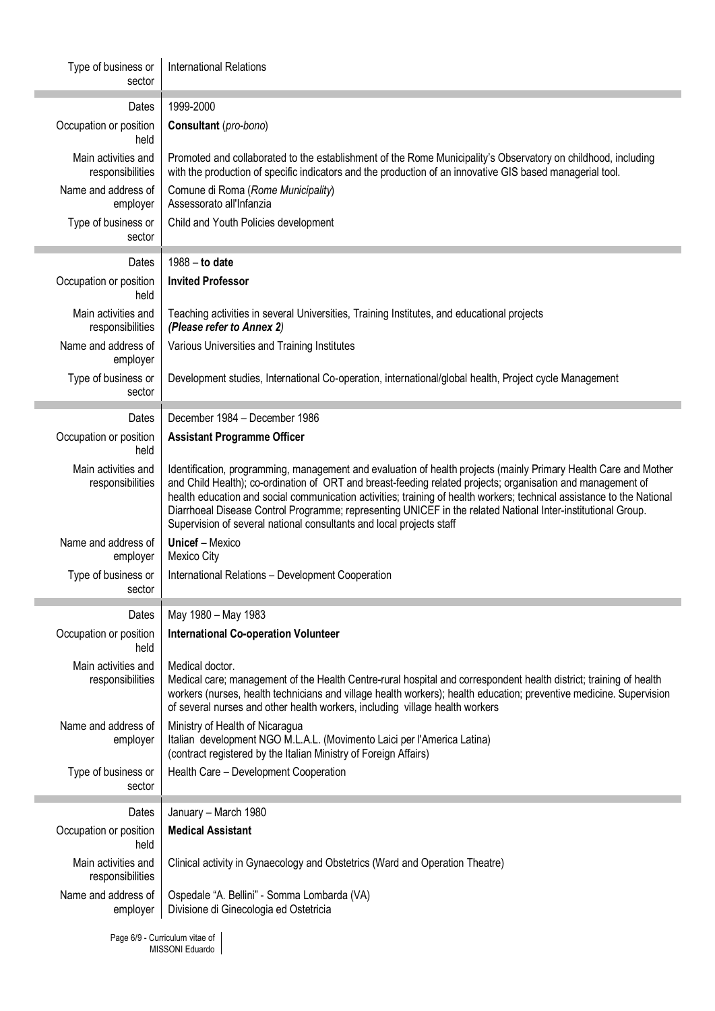| Type of business or<br>sector           | <b>International Relations</b>                                                                                                                                                                                                                                                                                                                                                                                                                                                                                                                    |  |  |  |
|-----------------------------------------|---------------------------------------------------------------------------------------------------------------------------------------------------------------------------------------------------------------------------------------------------------------------------------------------------------------------------------------------------------------------------------------------------------------------------------------------------------------------------------------------------------------------------------------------------|--|--|--|
| Dates                                   | 1999-2000                                                                                                                                                                                                                                                                                                                                                                                                                                                                                                                                         |  |  |  |
| Occupation or position<br>held          | Consultant (pro-bono)                                                                                                                                                                                                                                                                                                                                                                                                                                                                                                                             |  |  |  |
| Main activities and<br>responsibilities | Promoted and collaborated to the establishment of the Rome Municipality's Observatory on childhood, including<br>with the production of specific indicators and the production of an innovative GIS based managerial tool.                                                                                                                                                                                                                                                                                                                        |  |  |  |
| Name and address of<br>employer         | Comune di Roma (Rome Municipality)<br>Assessorato all'Infanzia                                                                                                                                                                                                                                                                                                                                                                                                                                                                                    |  |  |  |
| Type of business or<br>sector           | Child and Youth Policies development                                                                                                                                                                                                                                                                                                                                                                                                                                                                                                              |  |  |  |
| Dates                                   | 1988 - to date                                                                                                                                                                                                                                                                                                                                                                                                                                                                                                                                    |  |  |  |
| Occupation or position<br>held          | <b>Invited Professor</b>                                                                                                                                                                                                                                                                                                                                                                                                                                                                                                                          |  |  |  |
| Main activities and<br>responsibilities | Teaching activities in several Universities, Training Institutes, and educational projects<br>(Please refer to Annex 2)                                                                                                                                                                                                                                                                                                                                                                                                                           |  |  |  |
| Name and address of<br>employer         | Various Universities and Training Institutes                                                                                                                                                                                                                                                                                                                                                                                                                                                                                                      |  |  |  |
| Type of business or<br>sector           | Development studies, International Co-operation, international/global health, Project cycle Management                                                                                                                                                                                                                                                                                                                                                                                                                                            |  |  |  |
| Dates                                   | December 1984 - December 1986                                                                                                                                                                                                                                                                                                                                                                                                                                                                                                                     |  |  |  |
| Occupation or position<br>held          | <b>Assistant Programme Officer</b>                                                                                                                                                                                                                                                                                                                                                                                                                                                                                                                |  |  |  |
| Main activities and<br>responsibilities | Identification, programming, management and evaluation of health projects (mainly Primary Health Care and Mother<br>and Child Health); co-ordination of ORT and breast-feeding related projects; organisation and management of<br>health education and social communication activities; training of health workers; technical assistance to the National<br>Diarrhoeal Disease Control Programme; representing UNICEF in the related National Inter-institutional Group.<br>Supervision of several national consultants and local projects staff |  |  |  |
| Name and address of<br>employer         | <b>Unicef</b> – Mexico<br>Mexico City                                                                                                                                                                                                                                                                                                                                                                                                                                                                                                             |  |  |  |
| Type of business or<br>sector           | International Relations - Development Cooperation                                                                                                                                                                                                                                                                                                                                                                                                                                                                                                 |  |  |  |
| Dates                                   | May 1980 - May 1983                                                                                                                                                                                                                                                                                                                                                                                                                                                                                                                               |  |  |  |
| Occupation or position<br>held          | <b>International Co-operation Volunteer</b>                                                                                                                                                                                                                                                                                                                                                                                                                                                                                                       |  |  |  |
| Main activities and<br>responsibilities | Medical doctor.<br>Medical care; management of the Health Centre-rural hospital and correspondent health district; training of health<br>workers (nurses, health technicians and village health workers); health education; preventive medicine. Supervision<br>of several nurses and other health workers, including village health workers                                                                                                                                                                                                      |  |  |  |
| Name and address of<br>employer         | Ministry of Health of Nicaragua<br>Italian development NGO M.L.A.L. (Movimento Laici per l'America Latina)<br>(contract registered by the Italian Ministry of Foreign Affairs)                                                                                                                                                                                                                                                                                                                                                                    |  |  |  |
| Type of business or<br>sector           | Health Care - Development Cooperation                                                                                                                                                                                                                                                                                                                                                                                                                                                                                                             |  |  |  |
| Dates                                   | January - March 1980                                                                                                                                                                                                                                                                                                                                                                                                                                                                                                                              |  |  |  |
| Occupation or position<br>held          | <b>Medical Assistant</b>                                                                                                                                                                                                                                                                                                                                                                                                                                                                                                                          |  |  |  |
| Main activities and<br>responsibilities | Clinical activity in Gynaecology and Obstetrics (Ward and Operation Theatre)                                                                                                                                                                                                                                                                                                                                                                                                                                                                      |  |  |  |
| Name and address of<br>employer         | Ospedale "A. Bellini" - Somma Lombarda (VA)<br>Divisione di Ginecologia ed Ostetricia                                                                                                                                                                                                                                                                                                                                                                                                                                                             |  |  |  |
|                                         | $D_{0.000}$ $6/0$ Curriculum vitoo of                                                                                                                                                                                                                                                                                                                                                                                                                                                                                                             |  |  |  |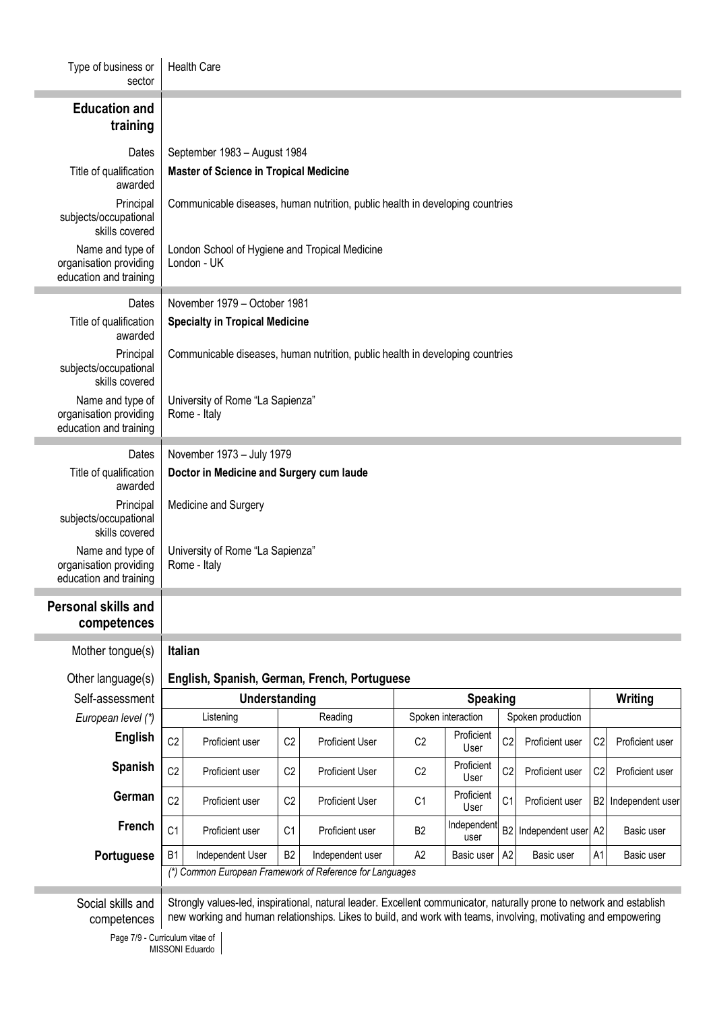| Type of business or<br>sector                                        | <b>Health Care</b>                                                            |                                                                               |                |                                                                                                                      |                    |                     |                   |                     |                |                     |
|----------------------------------------------------------------------|-------------------------------------------------------------------------------|-------------------------------------------------------------------------------|----------------|----------------------------------------------------------------------------------------------------------------------|--------------------|---------------------|-------------------|---------------------|----------------|---------------------|
| <b>Education and</b><br>training                                     |                                                                               |                                                                               |                |                                                                                                                      |                    |                     |                   |                     |                |                     |
| Dates                                                                | September 1983 - August 1984                                                  |                                                                               |                |                                                                                                                      |                    |                     |                   |                     |                |                     |
| Title of qualification<br>awarded                                    | <b>Master of Science in Tropical Medicine</b>                                 |                                                                               |                |                                                                                                                      |                    |                     |                   |                     |                |                     |
| Principal<br>subjects/occupational<br>skills covered                 | Communicable diseases, human nutrition, public health in developing countries |                                                                               |                |                                                                                                                      |                    |                     |                   |                     |                |                     |
| Name and type of<br>organisation providing<br>education and training | London School of Hygiene and Tropical Medicine<br>London - UK                 |                                                                               |                |                                                                                                                      |                    |                     |                   |                     |                |                     |
| Dates                                                                |                                                                               | November 1979 - October 1981                                                  |                |                                                                                                                      |                    |                     |                   |                     |                |                     |
| Title of qualification<br>awarded                                    | <b>Specialty in Tropical Medicine</b>                                         |                                                                               |                |                                                                                                                      |                    |                     |                   |                     |                |                     |
| Principal<br>subjects/occupational<br>skills covered                 |                                                                               | Communicable diseases, human nutrition, public health in developing countries |                |                                                                                                                      |                    |                     |                   |                     |                |                     |
| Name and type of<br>organisation providing<br>education and training | University of Rome "La Sapienza"<br>Rome - Italy                              |                                                                               |                |                                                                                                                      |                    |                     |                   |                     |                |                     |
| Dates                                                                |                                                                               | November 1973 - July 1979                                                     |                |                                                                                                                      |                    |                     |                   |                     |                |                     |
| Title of qualification<br>awarded                                    | Doctor in Medicine and Surgery cum laude                                      |                                                                               |                |                                                                                                                      |                    |                     |                   |                     |                |                     |
| Principal<br>subjects/occupational<br>skills covered                 | Medicine and Surgery                                                          |                                                                               |                |                                                                                                                      |                    |                     |                   |                     |                |                     |
| Name and type of<br>organisation providing<br>education and training | University of Rome "La Sapienza"<br>Rome - Italy                              |                                                                               |                |                                                                                                                      |                    |                     |                   |                     |                |                     |
| Personal skills and<br>competences                                   |                                                                               |                                                                               |                |                                                                                                                      |                    |                     |                   |                     |                |                     |
| Mother tongue(s)                                                     | Italian                                                                       |                                                                               |                |                                                                                                                      |                    |                     |                   |                     |                |                     |
| Other language(s)                                                    |                                                                               |                                                                               |                |                                                                                                                      |                    |                     |                   |                     |                |                     |
| Self-assessment                                                      | English, Spanish, German, French, Portuguese<br>Understanding                 |                                                                               |                | Speaking                                                                                                             |                    |                     |                   | Writing             |                |                     |
| European level (*)                                                   | Listening                                                                     |                                                                               | Reading        |                                                                                                                      | Spoken interaction |                     | Spoken production |                     |                |                     |
| <b>English</b>                                                       | C <sub>2</sub>                                                                | Proficient user                                                               | C <sub>2</sub> | <b>Proficient User</b>                                                                                               | C <sub>2</sub>     | Proficient<br>User  | C <sub>2</sub>    | Proficient user     | C <sub>2</sub> | Proficient user     |
| Spanish                                                              | C <sub>2</sub>                                                                | Proficient user                                                               | C <sub>2</sub> | <b>Proficient User</b>                                                                                               | C <sub>2</sub>     | Proficient<br>User  | C <sub>2</sub>    | Proficient user     | C <sub>2</sub> | Proficient user     |
| German                                                               | C <sub>2</sub>                                                                | Proficient user                                                               | C <sub>2</sub> | <b>Proficient User</b>                                                                                               | C <sub>1</sub>     | Proficient<br>User  | C <sub>1</sub>    | Proficient user     |                | B2 Independent user |
| French                                                               | C <sub>1</sub>                                                                | Proficient user                                                               | C <sub>1</sub> | Proficient user                                                                                                      | B <sub>2</sub>     | Independent<br>user | B <sub>2</sub>    | Independent user A2 |                | Basic user          |
| Portuguese                                                           | B <sub>1</sub>                                                                | Independent User                                                              | <b>B2</b>      | Independent user<br>(*) Common European Framework of Reference for Languages                                         | A2                 | Basic user          | A2                | Basic user          | A1             | Basic user          |
| Social skills and                                                    |                                                                               |                                                                               |                | Strongly values-led, inspirational, natural leader. Excellent communicator, naturally prone to network and establish |                    |                     |                   |                     |                |                     |
| competences                                                          |                                                                               |                                                                               |                | new working and human relationships. Likes to build, and work with teams, involving, motivating and empowering       |                    |                     |                   |                     |                |                     |

Page 7/9 - Curriculum vitae of MISSONI Eduardo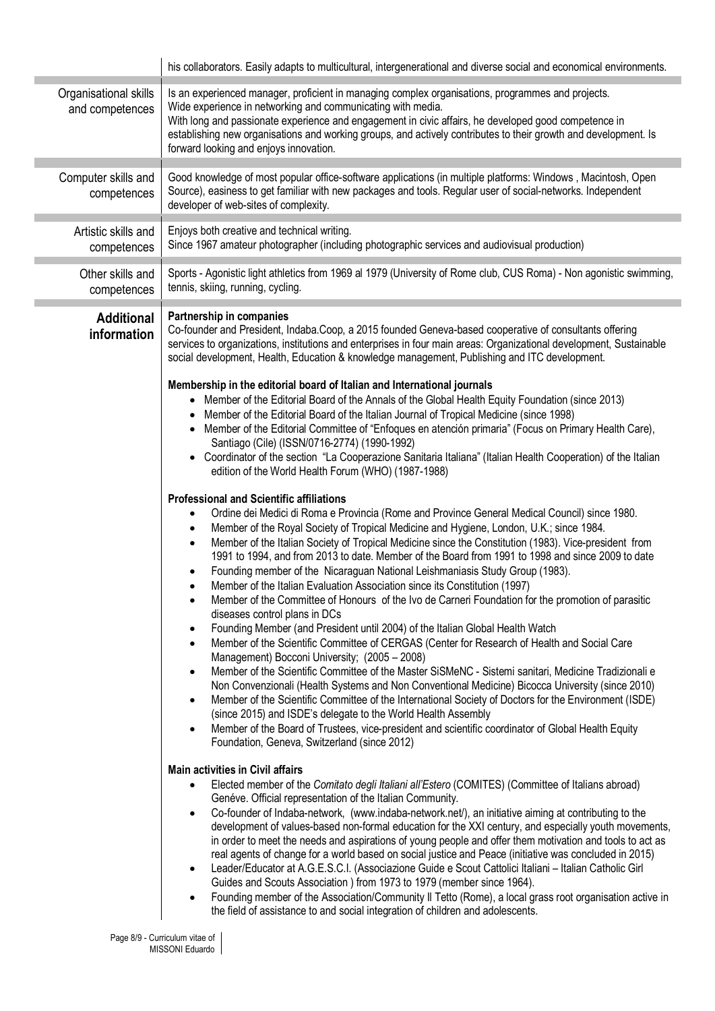|                                          | his collaborators. Easily adapts to multicultural, intergenerational and diverse social and economical environments.                                                                                                                                                                                                                                                                                                                                                                                                                                                                                                                                                                                                                                                                                                                                                                                                                                                                                                                                                                                                                                                                                                                                                                                                                                                                                                                                                                                                                                                                                                                                                                                                                                                                                                                                                                                                                                                                                                                                                                                                                                                                                                                                                                                                                                                                                                                                                                                                                                                                                                                                                                                                                                                                                                                                                                                                                                                                                                                                                                                                                                                                                                                                                                                                                                                                                                                                                                                                                                                                                                                                                                               |  |  |  |  |
|------------------------------------------|----------------------------------------------------------------------------------------------------------------------------------------------------------------------------------------------------------------------------------------------------------------------------------------------------------------------------------------------------------------------------------------------------------------------------------------------------------------------------------------------------------------------------------------------------------------------------------------------------------------------------------------------------------------------------------------------------------------------------------------------------------------------------------------------------------------------------------------------------------------------------------------------------------------------------------------------------------------------------------------------------------------------------------------------------------------------------------------------------------------------------------------------------------------------------------------------------------------------------------------------------------------------------------------------------------------------------------------------------------------------------------------------------------------------------------------------------------------------------------------------------------------------------------------------------------------------------------------------------------------------------------------------------------------------------------------------------------------------------------------------------------------------------------------------------------------------------------------------------------------------------------------------------------------------------------------------------------------------------------------------------------------------------------------------------------------------------------------------------------------------------------------------------------------------------------------------------------------------------------------------------------------------------------------------------------------------------------------------------------------------------------------------------------------------------------------------------------------------------------------------------------------------------------------------------------------------------------------------------------------------------------------------------------------------------------------------------------------------------------------------------------------------------------------------------------------------------------------------------------------------------------------------------------------------------------------------------------------------------------------------------------------------------------------------------------------------------------------------------------------------------------------------------------------------------------------------------------------------------------------------------------------------------------------------------------------------------------------------------------------------------------------------------------------------------------------------------------------------------------------------------------------------------------------------------------------------------------------------------------------------------------------------------------------------------------------------------|--|--|--|--|
| Organisational skills<br>and competences | Is an experienced manager, proficient in managing complex organisations, programmes and projects.<br>Wide experience in networking and communicating with media.<br>With long and passionate experience and engagement in civic affairs, he developed good competence in<br>establishing new organisations and working groups, and actively contributes to their growth and development. Is<br>forward looking and enjoys innovation.                                                                                                                                                                                                                                                                                                                                                                                                                                                                                                                                                                                                                                                                                                                                                                                                                                                                                                                                                                                                                                                                                                                                                                                                                                                                                                                                                                                                                                                                                                                                                                                                                                                                                                                                                                                                                                                                                                                                                                                                                                                                                                                                                                                                                                                                                                                                                                                                                                                                                                                                                                                                                                                                                                                                                                                                                                                                                                                                                                                                                                                                                                                                                                                                                                                              |  |  |  |  |
| Computer skills and<br>competences       | Good knowledge of most popular office-software applications (in multiple platforms: Windows, Macintosh, Open<br>Source), easiness to get familiar with new packages and tools. Regular user of social-networks. Independent<br>developer of web-sites of complexity.                                                                                                                                                                                                                                                                                                                                                                                                                                                                                                                                                                                                                                                                                                                                                                                                                                                                                                                                                                                                                                                                                                                                                                                                                                                                                                                                                                                                                                                                                                                                                                                                                                                                                                                                                                                                                                                                                                                                                                                                                                                                                                                                                                                                                                                                                                                                                                                                                                                                                                                                                                                                                                                                                                                                                                                                                                                                                                                                                                                                                                                                                                                                                                                                                                                                                                                                                                                                                               |  |  |  |  |
| Artistic skills and<br>competences       | Enjoys both creative and technical writing.<br>Since 1967 amateur photographer (including photographic services and audiovisual production)                                                                                                                                                                                                                                                                                                                                                                                                                                                                                                                                                                                                                                                                                                                                                                                                                                                                                                                                                                                                                                                                                                                                                                                                                                                                                                                                                                                                                                                                                                                                                                                                                                                                                                                                                                                                                                                                                                                                                                                                                                                                                                                                                                                                                                                                                                                                                                                                                                                                                                                                                                                                                                                                                                                                                                                                                                                                                                                                                                                                                                                                                                                                                                                                                                                                                                                                                                                                                                                                                                                                                        |  |  |  |  |
| Other skills and<br>competences          | Sports - Agonistic light athletics from 1969 al 1979 (University of Rome club, CUS Roma) - Non agonistic swimming,<br>tennis, skiing, running, cycling.                                                                                                                                                                                                                                                                                                                                                                                                                                                                                                                                                                                                                                                                                                                                                                                                                                                                                                                                                                                                                                                                                                                                                                                                                                                                                                                                                                                                                                                                                                                                                                                                                                                                                                                                                                                                                                                                                                                                                                                                                                                                                                                                                                                                                                                                                                                                                                                                                                                                                                                                                                                                                                                                                                                                                                                                                                                                                                                                                                                                                                                                                                                                                                                                                                                                                                                                                                                                                                                                                                                                            |  |  |  |  |
| <b>Additional</b><br>information         | Partnership in companies<br>Co-founder and President, Indaba.Coop, a 2015 founded Geneva-based cooperative of consultants offering<br>services to organizations, institutions and enterprises in four main areas: Organizational development, Sustainable<br>social development, Health, Education & knowledge management, Publishing and ITC development.<br>Membership in the editorial board of Italian and International journals<br>• Member of the Editorial Board of the Annals of the Global Health Equity Foundation (since 2013)<br>Member of the Editorial Board of the Italian Journal of Tropical Medicine (since 1998)<br>Member of the Editorial Committee of "Enfoques en atención primaria" (Focus on Primary Health Care),<br>Santiago (Cile) (ISSN/0716-2774) (1990-1992)<br>Coordinator of the section "La Cooperazione Sanitaria Italiana" (Italian Health Cooperation) of the Italian<br>$\bullet$<br>edition of the World Health Forum (WHO) (1987-1988)<br><b>Professional and Scientific affiliations</b><br>Ordine dei Medici di Roma e Provincia (Rome and Province General Medical Council) since 1980.<br>$\bullet$<br>Member of the Royal Society of Tropical Medicine and Hygiene, London, U.K.; since 1984.<br>$\bullet$<br>Member of the Italian Society of Tropical Medicine since the Constitution (1983). Vice-president from<br>$\bullet$<br>1991 to 1994, and from 2013 to date. Member of the Board from 1991 to 1998 and since 2009 to date<br>Founding member of the Nicaraguan National Leishmaniasis Study Group (1983).<br>Member of the Italian Evaluation Association since its Constitution (1997)<br>$\bullet$<br>Member of the Committee of Honours of the Ivo de Carneri Foundation for the promotion of parasitic<br>$\bullet$<br>diseases control plans in DCs<br>Founding Member (and President until 2004) of the Italian Global Health Watch<br>$\bullet$<br>Member of the Scientific Committee of CERGAS (Center for Research of Health and Social Care<br>$\bullet$<br>Management) Bocconi University; (2005 - 2008)<br>Member of the Scientific Committee of the Master SiSMeNC - Sistemi sanitari, Medicine Tradizionali e<br>$\bullet$<br>Non Convenzionali (Health Systems and Non Conventional Medicine) Bicocca University (since 2010)<br>Member of the Scientific Committee of the International Society of Doctors for the Environment (ISDE)<br>٠<br>(since 2015) and ISDE's delegate to the World Health Assembly<br>Member of the Board of Trustees, vice-president and scientific coordinator of Global Health Equity<br>٠<br>Foundation, Geneva, Switzerland (since 2012)<br><b>Main activities in Civil affairs</b><br>Elected member of the Comitato degli Italiani all'Estero (COMITES) (Committee of Italians abroad)<br>Genéve. Official representation of the Italian Community.<br>Co-founder of Indaba-network, (www.indaba-network.net/), an initiative aiming at contributing to the<br>development of values-based non-formal education for the XXI century, and especially youth movements,<br>in order to meet the needs and aspirations of young people and offer them motivation and tools to act as<br>real agents of change for a world based on social justice and Peace (initiative was concluded in 2015)<br>Leader/Educator at A.G.E.S.C.I. (Associazione Guide e Scout Cattolici Italiani - Italian Catholic Girl<br>Guides and Scouts Association ) from 1973 to 1979 (member since 1964).<br>Founding member of the Association/Community II Tetto (Rome), a local grass root organisation active in<br>$\bullet$<br>the field of assistance to and social integration of children and adolescents. |  |  |  |  |